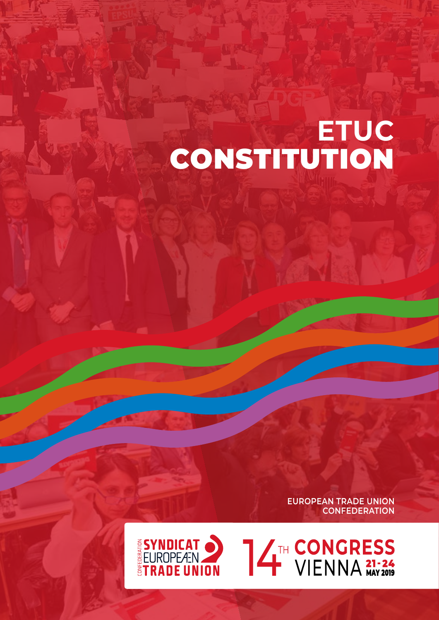# **ETUC**  CONSTITUTION

**EUROPEAN TRADE UNION CONFEDERATION**



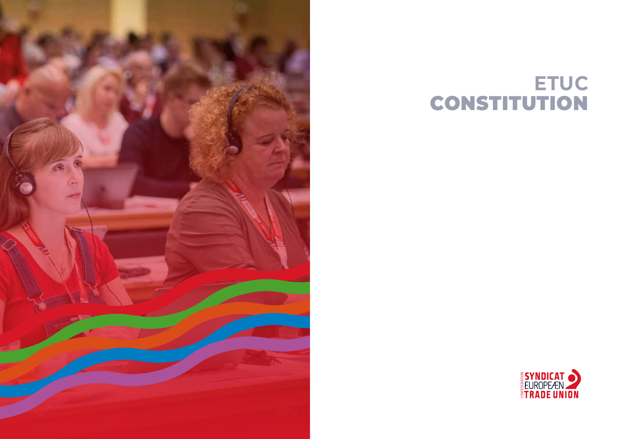

# **ETUC**  CONSTITUTION

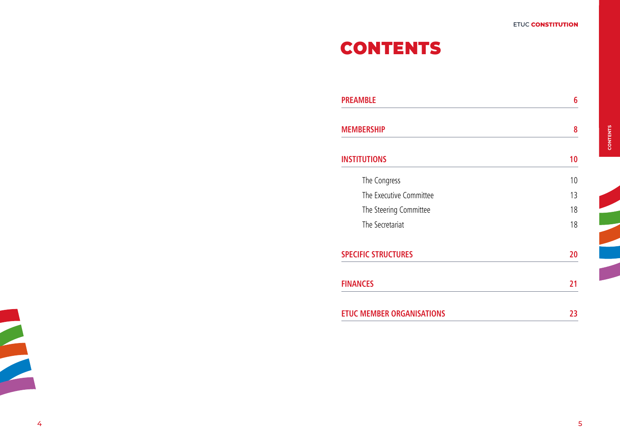# CONTENTS

| <b>PREAMBLE</b>                  | 6  |
|----------------------------------|----|
| <b>MEMBERSHIP</b>                | 8  |
| <b>INSTITUTIONS</b>              | 10 |
| The Congress                     | 10 |
| The Executive Committee          | 13 |
| The Steering Committee           | 18 |
| The Secretariat                  | 18 |
| <b>SPECIFIC STRUCTURES</b>       | 20 |
| <b>FINANCES</b>                  | 21 |
| <b>ETUC MEMBER ORGANISATIONS</b> | 23 |

z

Z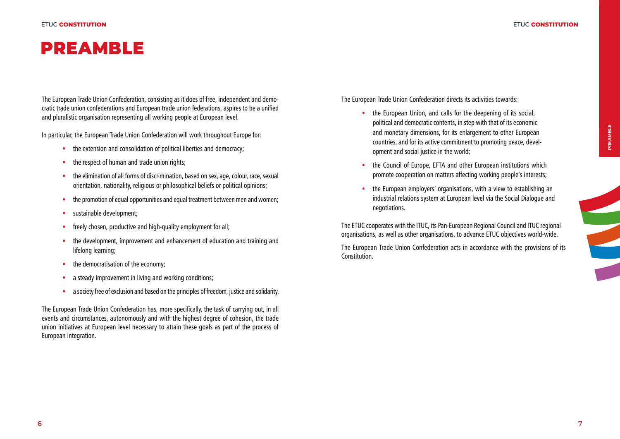# PREAMBLE

The European Trade Union Confederation, consisting as it does of free, independent and democratic trade union confederations and European trade union federations, aspires to be a unified and pluralistic organisation representing all working people at European level.

In particular, the European Trade Union Confederation will work throughout Europe for:

- the extension and consolidation of political liberties and democracy:
- the respect of human and trade union rights:
- the elimination of all forms of discrimination, based on sex, age, colour, race, sexual orientation, nationality, religious or philosophical beliefs or political opinions;
- the promotion of equal opportunities and equal treatment between men and women;
- sustainable development;
- freely chosen, productive and high-quality employment for all:
- the development, improvement and enhancement of education and training and lifelong learning;
- the democratisation of the economy:
- a steady improvement in living and working conditions:
- a society free of exclusion and based on the principles of freedom, justice and solidarity.

The European Trade Union Confederation has, more specifically, the task of carrying out, in all events and circumstances, autonomously and with the highest degree of cohesion, the trade union initiatives at European level necessary to attain these goals as part of the process of European integration.

The European Trade Union Confederation directs its activities towards:

- the European Union, and calls for the deepening of its social, political and democratic contents, in step with that of its economic and monetary dimensions, for its enlargement to other European countries, and for its active commitment to promoting peace, development and social justice in the world;
- the Council of Europe, EFTA and other European institutions which promote cooperation on matters affecting working people's interests;
- the European employers' organisations, with a view to establishing an industrial relations system at European level via the Social Dialogue and negotiations.

The ETUC cooperates with the ITUC, its Pan-European Regional Council and ITUC regional organisations, as well as other organisations, to advance ETUC objectives world-wide.

The European Trade Union Confederation acts in accordance with the provisions of its Constitution.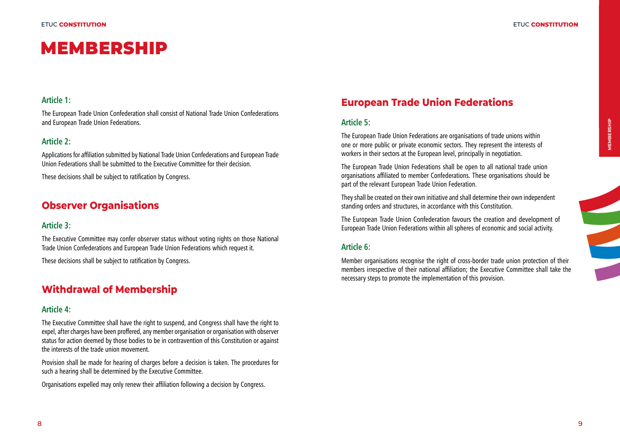MEMBERSHIP

#### **Article 1:**

The European Trade Union Confederation shall consist of National Trade Union Confederations and European Trade Union Federations.

#### **Article 2:**

Applications for affiliation submitted by National Trade Union Confederations and European Trade Union Federations shall be submitted to the Executive Committee for their decision.

These decisions shall be subject to ratification by Congress.

# **Observer Organisations**

#### **Article 3:**

The Executive Committee may confer observer status without voting rights on those National Trade Union Confederations and European Trade Union Federations which request it.

These decisions shall be subject to ratification by Congress.

## **Withdrawal of Membership**

#### **Article 4:**

The Executive Committee shall have the right to suspend, and Congress shall have the right to expel, after charges have been proffered, any member organisation or organisation with observer status for action deemed by those bodies to be in contravention of this Constitution or against the interests of the trade union movement.

Provision shall be made for hearing of charges before a decision is taken. The procedures for such a hearing shall be determined by the Executive Committee.

Organisations expelled may only renew their affiliation following a decision by Congress.

# **European Trade Union Federations**

#### **Article 5:**

The European Trade Union Federations are organisations of trade unions within one or more public or private economic sectors. They represent the interests of workers in their sectors at the European level, principally in negotiation.

The European Trade Union Federations shall be open to all national trade union organisations affiliated to member Confederations. These organisations should be part of the relevant European Trade Union Federation.

They shall be created on their own initiative and shall determine their own independent standing orders and structures, in accordance with this Constitution.

The European Trade Union Confederation favours the creation and development of European Trade Union Federations within all spheres of economic and social activity.

#### **Article 6:**

Member organisations recognise the right of cross-border trade union protection of their members irrespective of their national affiliation; the Executive Committee shall take the necessary steps to promote the implementation of this provision.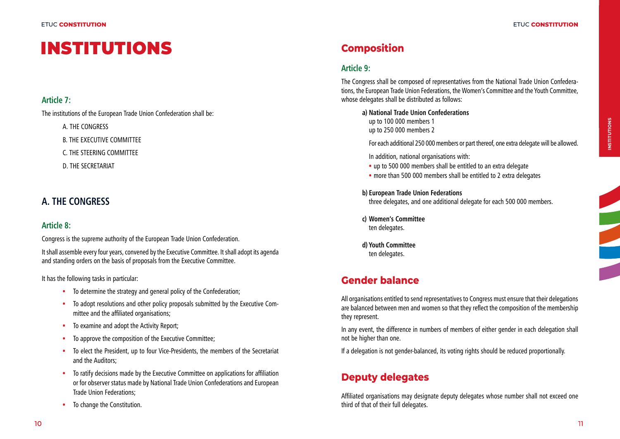# **INSTITUTIONS** Composition

## **Article 7:**

The institutions of the European Trade Union Confederation shall be:

A. THE CONGRESS

B. THE EXECUTIVE COMMITTEE

C. THE STEERING COMMITTEE

D. THE SECRETARIAT

# **A. THE CONGRESS**

# **Article 8:**

Congress is the supreme authority of the European Trade Union Confederation.

It shall assemble every four years, convened by the Executive Committee. It shall adopt its agenda and standing orders on the basis of proposals from the Executive Committee.

It has the following tasks in particular:

- To determine the strategy and general policy of the Confederation;
- To adopt resolutions and other policy proposals submitted by the Executive Committee and the affiliated organisations;
- To examine and adopt the Activity Report:
- To approve the composition of the Executive Committee;
- To elect the President, up to four Vice-Presidents, the members of the Secretariat and the Auditors;
- To ratify decisions made by the Executive Committee on applications for affiliation or for observer status made by National Trade Union Confederations and European Trade Union Federations;
- To change the Constitution.

# **Article 9:**

The Congress shall be composed of representatives from the National Trade Union Confederations, the European Trade Union Federations, the Women's Committee and the Youth Committee, whose delegates shall be distributed as follows:

**a) National Trade Union Confederations** up to 100 000 members 1

up to 250 000 members 2

For each additional 250 000 members or part thereof, one extra delegate will be allowed.

In addition, national organisations with:

- up to 500 000 members shall be entitled to an extra delegate
- more than 500 000 members shall be entitled to 2 extra delegates

**b) European Trade Union Federations**

three delegates, and one additional delegate for each 500 000 members.

**c) Women's Committee** ten delegates.

**d) Youth Committee** ten delegates.

# **Gender balance**

All organisations entitled to send representatives to Congress must ensure that their delegations are balanced between men and women so that they reflect the composition of the membership they represent.

In any event, the difference in numbers of members of either gender in each delegation shall not be higher than one.

If a delegation is not gender-balanced, its voting rights should be reduced proportionally.

# **Deputy delegates**

Affiliated organisations may designate deputy delegates whose number shall not exceed one third of that of their full delegates.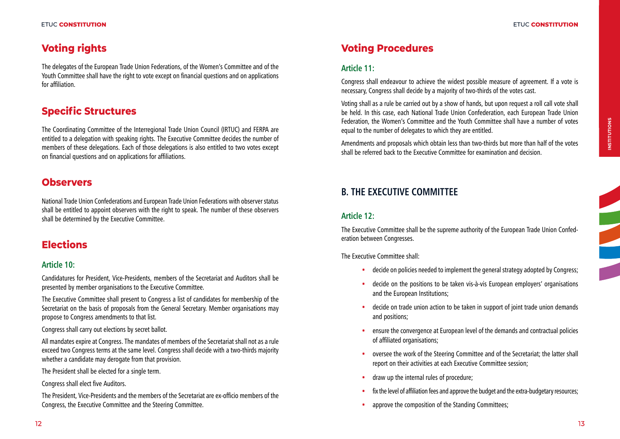# **Voting rights**

The delegates of the European Trade Union Federations, of the Women's Committee and of the Youth Committee shall have the right to vote except on financial questions and on applications for affiliation.

# **Specific Structures**

The Coordinating Committee of the Interregional Trade Union Council (IRTUC) and FERPA are entitled to a delegation with speaking rights. The Executive Committee decides the number of members of these delegations. Each of those delegations is also entitled to two votes except on financial questions and on applications for affiliations.

# **Observers**

National Trade Union Confederations and European Trade Union Federations with observer status shall be entitled to appoint observers with the right to speak. The number of these observers shall be determined by the Executive Committee.

# **Elections**

### **Article 10:**

Candidatures for President, Vice-Presidents, members of the Secretariat and Auditors shall be presented by member organisations to the Executive Committee.

The Executive Committee shall present to Congress a list of candidates for membership of the Secretariat on the basis of proposals from the General Secretary. Member organisations may propose to Congress amendments to that list.

Congress shall carry out elections by secret ballot.

All mandates expire at Congress. The mandates of members of the Secretariat shall not as a rule exceed two Congress terms at the same level. Congress shall decide with a two-thirds majority whether a candidate may derogate from that provision.

The President shall be elected for a single term.

Congress shall elect five Auditors.

The President, Vice-Presidents and the members of the Secretariat are ex-officio members of the Congress, the Executive Committee and the Steering Committee.

# **Voting Procedures**

#### **Article 11:**

Congress shall endeavour to achieve the widest possible measure of agreement. If a vote is necessary, Congress shall decide by a majority of two-thirds of the votes cast.

Voting shall as a rule be carried out by a show of hands, but upon request a roll call vote shall be held. In this case, each National Trade Union Confederation, each European Trade Union Federation, the Women's Committee and the Youth Committee shall have a number of votes equal to the number of delegates to which they are entitled.

Amendments and proposals which obtain less than two-thirds but more than half of the votes shall be referred back to the Executive Committee for examination and decision.

# **B. THE EXECUTIVE COMMITTEE**

#### **Article 12:**

The Executive Committee shall be the supreme authority of the European Trade Union Confederation between Congresses.

The Executive Committee shall:

- decide on policies needed to implement the general strategy adopted by Congress;
- decide on the positions to be taken vis-à-vis European employers' organisations and the European Institutions;
- decide on trade union action to be taken in support of joint trade union demands and positions;
- ensure the convergence at European level of the demands and contractual policies of affiliated organisations;
- oversee the work of the Steering Committee and of the Secretariat; the latter shall report on their activities at each Executive Committee session;
- draw up the internal rules of procedure;
- fix the level of affiliation fees and approve the budget and the extra-budgetary resources;
- approve the composition of the Standing Committees;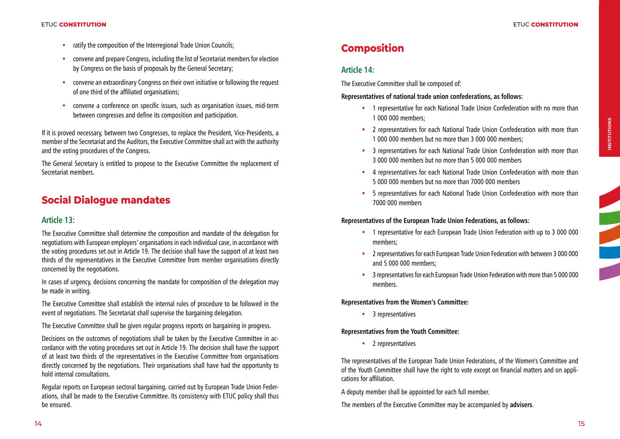- ratify the composition of the Interregional Trade Union Councils:
- convene and prepare Congress, including the list of Secretariat members for election by Congress on the basis of proposals by the General Secretary;
- convene an extraordinary Congress on their own initiative or following the request of one third of the affiliated organisations;
- convene a conference on specific issues, such as organisation issues, mid-term between congresses and define its composition and participation.

If it is proved necessary, between two Congresses, to replace the President, Vice-Presidents, a member of the Secretariat and the Auditors, the Executive Committee shall act with the authority and the voting procedures of the Congress.

The General Secretary is entitled to propose to the Executive Committee the replacement of Secretariat members.

# **Social Dialogue mandates**

#### **Article 13:**

The Executive Committee shall determine the composition and mandate of the delegation for negotiations with European employers' organisations in each individual case, in accordance with the voting procedures set out in Article 19. The decision shall have the support of at least two thirds of the representatives in the Executive Committee from member organisations directly concerned by the negotiations.

In cases of urgency, decisions concerning the mandate for composition of the delegation may be made in writing.

The Executive Committee shall establish the internal rules of procedure to be followed in the event of negotiations. The Secretariat shall supervise the bargaining delegation.

The Executive Committee shall be given regular progress reports on bargaining in progress.

Decisions on the outcomes of negotiations shall be taken by the Executive Committee in accordance with the voting procedures set out in Article 19. The decision shall have the support of at least two thirds of the representatives in the Executive Committee from organisations directly concerned by the negotiations. Their organisations shall have had the opportunity to hold internal consultations.

Regular reports on European sectoral bargaining, carried out by European Trade Union Federations, shall be made to the Executive Committee. Its consistency with ETUC policy shall thus be ensured.

# **Composition**

### **Article 14:**

The Executive Committee shall be composed of:

**Representatives of national trade union confederations, as follows:**

- 1 representative for each National Trade Union Confederation with no more than 1 000 000 members;
- 2 representatives for each National Trade Union Confederation with more than 1 000 000 members but no more than 3 000 000 members;
- 3 representatives for each National Trade Union Confederation with more than 3 000 000 members but no more than 5 000 000 members
- 4 representatives for each National Trade Union Confederation with more than 5 000 000 members but no more than 7000 000 members
- 5 representatives for each National Trade Union Confederation with more than 7000 000 members

#### **Representatives of the European Trade Union Federations, as follows:**

- 1 representative for each European Trade Union Federation with up to 3 000 000 members;
- 2 representatives for each European Trade Union Federation with between 3 000 000 and 5 000 000 members;
- 3 representatives for each European Trade Union Federation with more than 5 000 000 members.

**Representatives from the Women's Committee:**

• 3 representatives

#### **Representatives from the Youth Committee:**

• 2 representatives

The representatives of the European Trade Union Federations, of the Women's Committee and of the Youth Committee shall have the right to vote except on financial matters and on applications for affiliation.

A deputy member shall be appointed for each full member.

The members of the Executive Committee may be accompanied by **advisers**.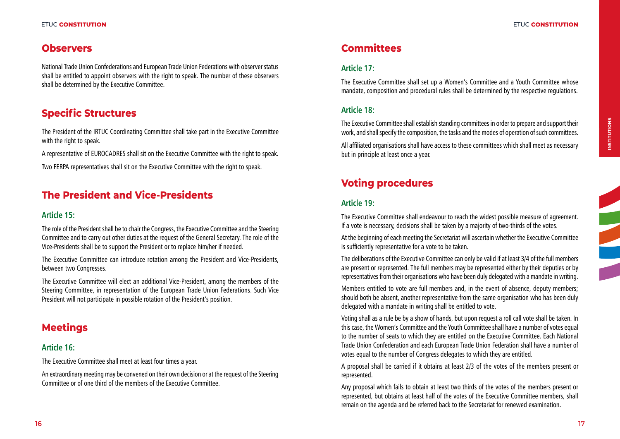# **Observers**

National Trade Union Confederations and European Trade Union Federations with observer status shall be entitled to appoint observers with the right to speak. The number of these observers shall be determined by the Executive Committee.

# **Specific Structures**

The President of the IRTUC Coordinating Committee shall take part in the Executive Committee with the right to speak.

A representative of EUROCADRES shall sit on the Executive Committee with the right to speak. Two FERPA representatives shall sit on the Executive Committee with the right to speak.

# **The President and Vice-Presidents**

#### **Article 15:**

The role of the President shall be to chair the Congress, the Executive Committee and the Steering Committee and to carry out other duties at the request of the General Secretary. The role of the Vice-Presidents shall be to support the President or to replace him/her if needed.

The Executive Committee can introduce rotation among the President and Vice-Presidents, between two Congresses.

The Executive Committee will elect an additional Vice-President, among the members of the Steering Committee, in representation of the European Trade Union Federations. Such Vice President will not participate in possible rotation of the President's position.

# **Meetings**

### **Article 16:**

The Executive Committee shall meet at least four times a year.

An extraordinary meeting may be convened on their own decision or at the request of the Steering Committee or of one third of the members of the Executive Committee.

# **Committees**

### **Article 17:**

The Executive Committee shall set up a Women's Committee and a Youth Committee whose mandate, composition and procedural rules shall be determined by the respective regulations.

### **Article 18:**

The Executive Committee shall establish standing committees in order to prepare and support their work, and shall specify the composition, the tasks and the modes of operation of such committees.

All affiliated organisations shall have access to these committees which shall meet as necessary but in principle at least once a year.

# **Voting procedures**

#### **Article 19:**

The Executive Committee shall endeavour to reach the widest possible measure of agreement. If a vote is necessary, decisions shall be taken by a majority of two-thirds of the votes.

At the beginning of each meeting the Secretariat will ascertain whether the Executive Committee is sufficiently representative for a vote to be taken.

The deliberations of the Executive Committee can only be valid if at least 3/4 of the full members are present or represented. The full members may be represented either by their deputies or by representatives from their organisations who have been duly delegated with a mandate in writing.

Members entitled to vote are full members and, in the event of absence, deputy members; should both be absent, another representative from the same organisation who has been duly delegated with a mandate in writing shall be entitled to vote.

Voting shall as a rule be by a show of hands, but upon request a roll call vote shall be taken. In this case, the Women's Committee and the Youth Committee shall have a number of votes equal to the number of seats to which they are entitled on the Executive Committee. Each National Trade Union Confederation and each European Trade Union Federation shall have a number of votes equal to the number of Congress delegates to which they are entitled.

A proposal shall be carried if it obtains at least 2/3 of the votes of the members present or represented.

Any proposal which fails to obtain at least two thirds of the votes of the members present or represented, but obtains at least half of the votes of the Executive Committee members, shall remain on the agenda and be referred back to the Secretariat for renewed examination.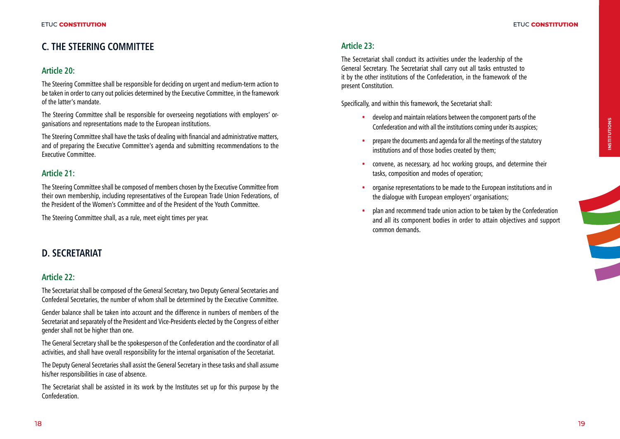# **C. THE STEERING COMMITTEE**

#### **Article 20:**

The Steering Committee shall be responsible for deciding on urgent and medium-term action to be taken in order to carry out policies determined by the Executive Committee, in the framework of the latter's mandate.

The Steering Committee shall be responsible for overseeing negotiations with employers' organisations and representations made to the European institutions.

The Steering Committee shall have the tasks of dealing with financial and administrative matters, and of preparing the Executive Committee's agenda and submitting recommendations to the Executive Committee.

### **Article 21:**

The Steering Committee shall be composed of members chosen by the Executive Committee from their own membership, including representatives of the European Trade Union Federations, of the President of the Women's Committee and of the President of the Youth Committee.

The Steering Committee shall, as a rule, meet eight times per year.

# **D. SECRETARIAT**

#### **Article 22:**

The Secretariat shall be composed of the General Secretary, two Deputy General Secretaries and Confederal Secretaries, the number of whom shall be determined by the Executive Committee.

Gender balance shall be taken into account and the difference in numbers of members of the Secretariat and separately of the President and Vice-Presidents elected by the Congress of either gender shall not be higher than one.

The General Secretary shall be the spokesperson of the Confederation and the coordinator of all activities, and shall have overall responsibility for the internal organisation of the Secretariat.

The Deputy General Secretaries shall assist the General Secretary in these tasks and shall assume his/her responsibilities in case of absence.

The Secretariat shall be assisted in its work by the Institutes set up for this purpose by the Confederation.

#### **Article 23:**

The Secretariat shall conduct its activities under the leadership of the General Secretary. The Secretariat shall carry out all tasks entrusted to it by the other institutions of the Confederation, in the framework of the present Constitution.

Specifically, and within this framework, the Secretariat shall:

- develop and maintain relations between the component parts of the Confederation and with all the institutions coming under its auspices;
- prepare the documents and agenda for all the meetings of the statutory institutions and of those bodies created by them;
- convene, as necessary, ad hoc working groups, and determine their tasks, composition and modes of operation;
- organise representations to be made to the European institutions and in the dialogue with European employers' organisations;
- plan and recommend trade union action to be taken by the Confederation and all its component bodies in order to attain objectives and support common demands.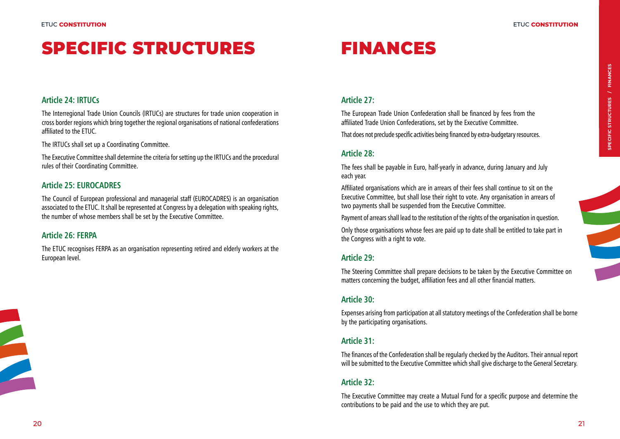# SPECIFIC STRUCTURES FINANCES

#### **Article 24: IRTUCs**

The Interregional Trade Union Councils (IRTUCs) are structures for trade union cooperation in cross border regions which bring together the regional organisations of national confederations affiliated to the ETUC.

The IRTUCs shall set up a Coordinating Committee.

The Executive Committee shall determine the criteria for setting up the IRTUCs and the procedural rules of their Coordinating Committee.

#### **Article 25: EUROCADRES**

The Council of European professional and managerial staff (EUROCADRES) is an organisation associated to the ETUC. It shall be represented at Congress by a delegation with speaking rights, the number of whose members shall be set by the Executive Committee.

#### **Article 26: FERPA**

The ETUC recognises FERPA as an organisation representing retired and elderly workers at the European level.

#### **Article 27:**

The European Trade Union Confederation shall be financed by fees from the affiliated Trade Union Confederations, set by the Executive Committee.

That does not preclude specific activities being financed by extra-budgetary resources.

#### **Article 28:**

The fees shall be payable in Euro, half-yearly in advance, during January and July each year.

Affiliated organisations which are in arrears of their fees shall continue to sit on the Executive Committee, but shall lose their right to vote. Any organisation in arrears of two payments shall be suspended from the Executive Committee.

Payment of arrears shall lead to the restitution of the rights of the organisation in question.

Only those organisations whose fees are paid up to date shall be entitled to take part in the Congress with a right to vote.

#### **Article 29:**

The Steering Committee shall prepare decisions to be taken by the Executive Committee on matters concerning the budget, affiliation fees and all other financial matters.

#### **Article 30:**

Expenses arising from participation at all statutory meetings of the Confederation shall be borne by the participating organisations.

#### **Article 31:**

The finances of the Confederation shall be regularly checked by the Auditors. Their annual report will be submitted to the Executive Committee which shall give discharge to the General Secretary.

## **Article 32:**

The Executive Committee may create a Mutual Fund for a specific purpose and determine the contributions to be paid and the use to which they are put.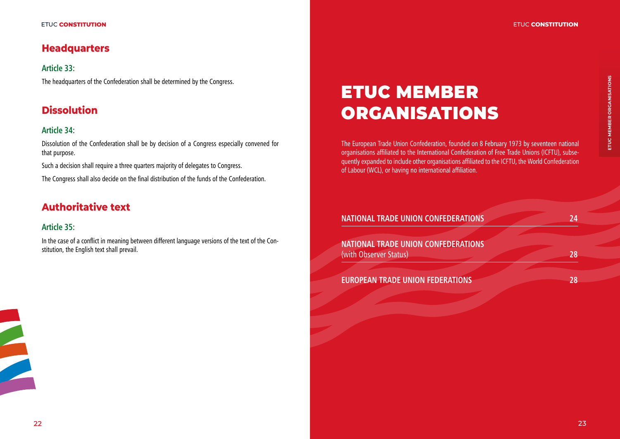# **Headquarters**

**Article 33:** The headquarters of the Confederation shall be determined by the Congress.

# **Dissolution**

## **Article 34:**

Dissolution of the Confederation shall be by decision of a Congress especially convened for that purpose.

Such a decision shall require a three quarters majority of delegates to Congress.

The Congress shall also decide on the final distribution of the funds of the Confederation.

# **Authoritative text**

# **Article 35:**

In the case of a conflict in meaning between different language versions of the text of the Constitution, the English text shall prevail.

# ETUC MEMBER ORGANISATIONS

The European Trade Union Confederation, founded on 8 February 1973 by seventeen national organisations affiliated to the International Confederation of Free Trade Unions (ICFTU), subsequently expanded to include other organisations affiliated to the ICFTU, the World Confederation of Labour (WCL), or having no international affiliation.

# **NATIONAL TRADE UNION CONFEDERATIONS 24 NATIONAL TRADE UNION CONFEDERATIONS**  (with Observer Status) **28 EUROPEAN TRADE UNION FEDERATIONS 28**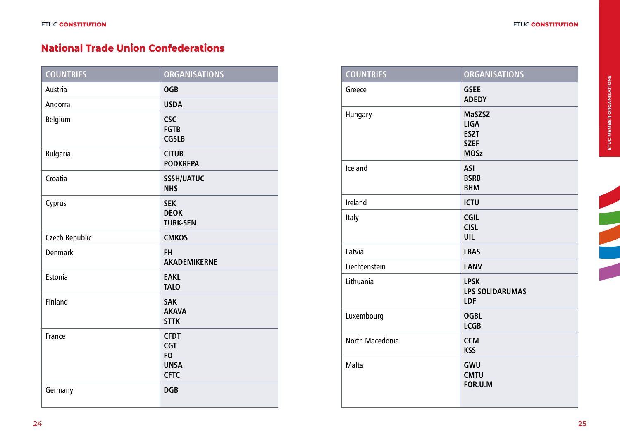# **National Trade Union Confederations**

| <b>COUNTRIES</b> | <b>ORGANISATIONS</b>                                                      |
|------------------|---------------------------------------------------------------------------|
| Austria          | <b>OGB</b>                                                                |
| Andorra          | <b>USDA</b>                                                               |
| Belgium          | <b>CSC</b><br><b>FGTB</b><br><b>CGSLB</b>                                 |
| <b>Bulgaria</b>  | <b>CITUB</b><br><b>PODKREPA</b>                                           |
| Croatia          | <b>SSSH/UATUC</b><br><b>NHS</b>                                           |
| Cyprus           | <b>SEK</b><br><b>DEOK</b><br><b>TURK-SEN</b>                              |
| Czech Republic   | <b>CMKOS</b>                                                              |
| <b>Denmark</b>   | <b>FH</b><br><b>AKADEMIKERNE</b>                                          |
| Estonia          | <b>EAKL</b><br><b>TALO</b>                                                |
| <b>Finland</b>   | <b>SAK</b><br><b>AKAVA</b><br><b>STTK</b>                                 |
| France           | <b>CFDT</b><br><b>CGT</b><br>F <sub>O</sub><br><b>UNSA</b><br><b>CFTC</b> |
| Germany          | <b>DGB</b>                                                                |

| <b>COUNTRIES</b> | <b>ORGANISATIONS</b>                                                      |
|------------------|---------------------------------------------------------------------------|
| Greece           | <b>GSEE</b><br><b>ADEDY</b>                                               |
| Hungary          | <b>MaSZSZ</b><br><b>LIGA</b><br><b>ESZT</b><br><b>SZEF</b><br><b>MOSz</b> |
| Iceland          | <b>ASI</b><br><b>BSRB</b><br><b>BHM</b>                                   |
| Ireland          | <b>ICTU</b>                                                               |
| Italy            | <b>CGIL</b><br><b>CISL</b><br><b>UIL</b>                                  |
| Latvia           | <b>LBAS</b>                                                               |
| Liechtenstein    | <b>LANV</b>                                                               |
| Lithuania        | <b>LPSK</b><br><b>LPS SOLIDARUMAS</b><br>LDF                              |
| Luxembourg       | <b>OGBL</b><br><b>LCGB</b>                                                |
| North Macedonia  | <b>CCM</b><br><b>KSS</b>                                                  |
| Malta            | GWU<br><b>CMTU</b><br>FOR.U.M                                             |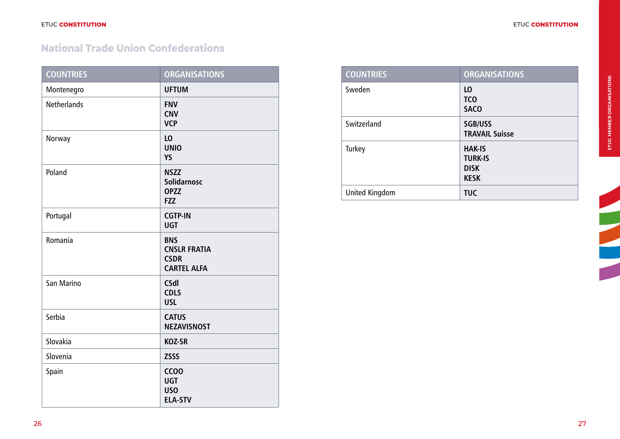# **National Trade Union Confederations**

| <b>COUNTRIES</b>   | <b>ORGANISATIONS</b>                                                   |
|--------------------|------------------------------------------------------------------------|
| Montenegro         | <b>UFTUM</b>                                                           |
| <b>Netherlands</b> | <b>FNV</b><br><b>CNV</b><br><b>VCP</b>                                 |
| Norway             | L <sub>0</sub><br><b>UNIO</b><br>YS                                    |
| Poland             | <b>NSZZ</b><br><b>Solidarnosc</b><br><b>OPZZ</b><br><b>FZZ</b>         |
| Portugal           | <b>CGTP-IN</b><br><b>UGT</b>                                           |
| Romania            | <b>BNS</b><br><b>CNSLR FRATIA</b><br><b>CSDR</b><br><b>CARTEL ALFA</b> |
| San Marino         | <b>CSdl</b><br><b>CDLS</b><br><b>USL</b>                               |
| Serbia             | <b>CATUS</b><br><b>NEZAVISNOST</b>                                     |
| Slovakia           | <b>KOZ-SR</b>                                                          |
| Slovenia           | <b>ZSSS</b>                                                            |
| Spain              | CC <sub>00</sub><br><b>UGT</b><br><b>USO</b><br><b>ELA-STV</b>         |

| <b>COUNTRIES</b> | <b>ORGANISATIONS</b>                                          |
|------------------|---------------------------------------------------------------|
| Sweden           | LO.<br><b>TCO</b><br><b>SACO</b>                              |
| Switzerland      | <b>SGB/USS</b><br><b>TRAVAIL Suisse</b>                       |
| Turkey           | <b>HAK-IS</b><br><b>TURK-IS</b><br><b>DISK</b><br><b>KESK</b> |
| United Kingdom   | <b>TUC</b>                                                    |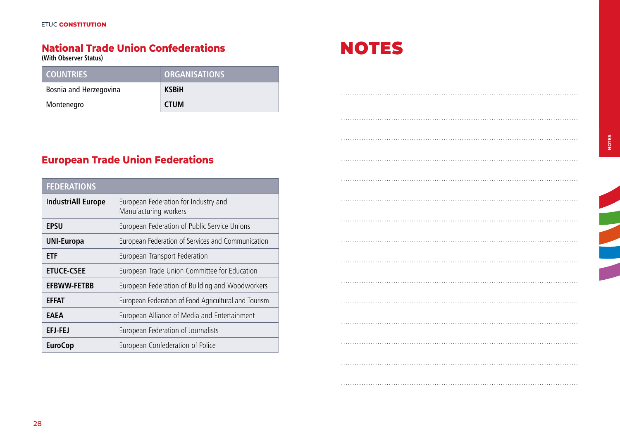# **National Trade Union Confederations**

**(With Observer Status)**

| <b>COUNTRIES</b>       | <b>ORGANISATIONS</b> |
|------------------------|----------------------|
| Bosnia and Herzegovina | <b>KSBiH</b>         |
| Montenegro             | <b>CTUM</b>          |

# **European Trade Union Federations**

| <b>FEDERATIONS</b>        |                                                               |
|---------------------------|---------------------------------------------------------------|
| <b>IndustriAll Europe</b> | European Federation for Industry and<br>Manufacturing workers |
| <b>EPSU</b>               | European Federation of Public Service Unions                  |
| <b>UNI-Europa</b>         | European Federation of Services and Communication             |
| <b>ETF</b>                | European Transport Federation                                 |
| <b>ETUCE-CSEE</b>         | European Trade Union Committee for Education                  |
| <b>EFBWW-FETBB</b>        | European Federation of Building and Woodworkers               |
| <b>EFFAT</b>              | European Federation of Food Agricultural and Tourism          |
| EAEA                      | European Alliance of Media and Entertainment                  |
| EFJ-FEJ                   | European Federation of Journalists                            |
| <b>EuroCop</b>            | European Confederation of Police                              |



.. .

. . . . . . . . . . . . . . . . . . . . . . . . . . . . . . . . . . . . . . . . . . . . . . . . . . . . . . . . . . . . . . . . . . . . . . . . . . . . . . . . . . . . . . . . . . . . . . . . . . . . . . . .

. . . . . . . . . . . . . . . . . . . . . . . . . . . . . . . . . . . . . . . . . . . . . . . . . . . . . . . . . . . . . . . . . . . . . . . . . . . . . . . . . . . . . . . . . . . . . . . . . . . . . . . .

. . . . . . . . . . . . . . . . . . . . . . . . . . . . . . . . . . . . . . . . . . . . . . . . . . . . . . . . . . . . . . . . . . . . . . . . . . . . . . . . . . . . . . . . . . . . . . . . . . . . . . . .

. . . . . . . . . . . . . . . . . . . . . . . . . . . . . . . . . . . . . . . . . . . . . . . . . . . . . . . . . . . . . . . . . . . . . . . . . . . . . . . . . . . . . . . . . . . . . . . . . . . . . . . .

. . . . . . . . . . . . . . . . . . . . . . . . . . . . . . . . . . . . . . . . . . . . . . . . . . . . . . . . . . . . . . . . . . . . . . . . . . . . . . . . . . . . . . . . . . . . . . . . . . . . . . . .

. . . . . . . . . . . . . . . . . . . . . . . . . . . . . . . . . . . . . . . . . . . . . . . . . . . . . . . . . . . . . . . . . . . . . . . . . . . . . . . . . . . . . . . . . . . . . . . . . . . . . . . .

. . . . . . . . . . . . . . . . . . . . . . . . . . . . . . . . . . . . . . . . . . . . . . . . . . . . . . . . . . . . . . . . . . . . . . . . . . . . . . . . . . . . . . . . . . . . . . . . . . . . . . . .

. . . . . . . . . . . . . . . . . . . . . . . . . . . . . . . . . . . . . . . . . . . . . . . . . . . . . . . . . . . . . . . . . . . . . . . . . . . . . . . . . . . . . . . . . . . . . . . . . . . . . . . .

. . . . . . . . . . . . . . . . . . . . . . . . . . . . . . . . . . . . . . . . . . . . . . . . . . . . . . . . . . . . . . . . . . . . . . . . . . . . . . . . . . . . . . . . . . . . . . . . . . . . . . . .

. . . . . . . . . . . . . . . . . . . . . . . . . . . . . . . . . . . . . . . . . . . . . . . . . . . . . . . . . . . . . . . . . . . . . . . . . . . . . . . . . . . . . . . . . . . . . . . . . . . . . . . .

. . . . . . . . . . . . . . . . . . . . . . . . . . . . . . . . . . . . . . . . . . . . . . . . . . . . . . . . . . . . . . . . . . . . . . . . . . . . . . . . . . . . . . . . . . . . . . . . . . . . . . . .

. . . . . . . . . . . . . . . . . . . . . . . . . . . . . . . . . . . . . . . . . . . . . . . . . . . . . . . . . . . . . . . . . . . . . . . . . . . . . . . . . . . . . . . . . . . . . . . . . . . . . . . .

. . . . . . . . . . . . . . . . . . . . . . . . . . . . . . . . . . . . . . . . . . . . . . . . . . . . . . . . . . . . . . . . . . . . . . . . . . . . . . . . . . . . . . . . . . . . . . . . . . . . . . . .

. . . . . . . . . . . . . . . . . . . . . . . . . . . . . . . . . . . . . . . . . . . . . . . . . . . . . . . . . . . . . . . . . . . . . . . . . . . . . . . . . . . . . . . . . . . . . . . . . . . . . . . .